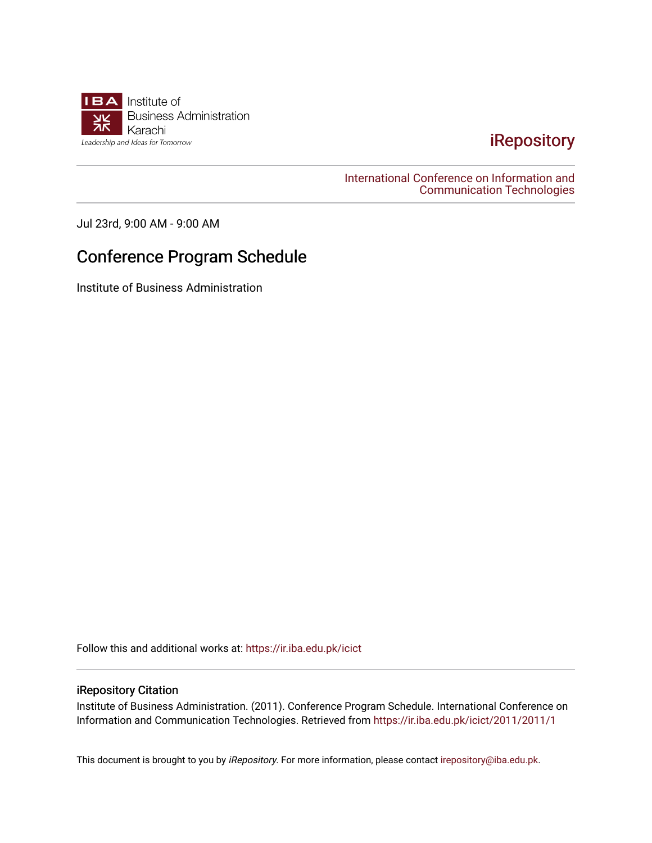

## [iRepository](https://ir.iba.edu.pk/)

[International Conference on Information and](https://ir.iba.edu.pk/icict)  [Communication Technologies](https://ir.iba.edu.pk/icict) 

Jul 23rd, 9:00 AM - 9:00 AM

## Conference Program Schedule

Institute of Business Administration

Follow this and additional works at: [https://ir.iba.edu.pk/icict](https://ir.iba.edu.pk/icict?utm_source=ir.iba.edu.pk%2Ficict%2F2011%2F2011%2F1&utm_medium=PDF&utm_campaign=PDFCoverPages) 

## iRepository Citation

Institute of Business Administration. (2011). Conference Program Schedule. International Conference on Information and Communication Technologies. Retrieved from [https://ir.iba.edu.pk/icict/2011/2011/1](https://ir.iba.edu.pk/icict/2011/2011/1?utm_source=ir.iba.edu.pk%2Ficict%2F2011%2F2011%2F1&utm_medium=PDF&utm_campaign=PDFCoverPages) 

This document is brought to you by iRepository. For more information, please contact [irepository@iba.edu.pk](mailto:irepository@iba.edu.pk).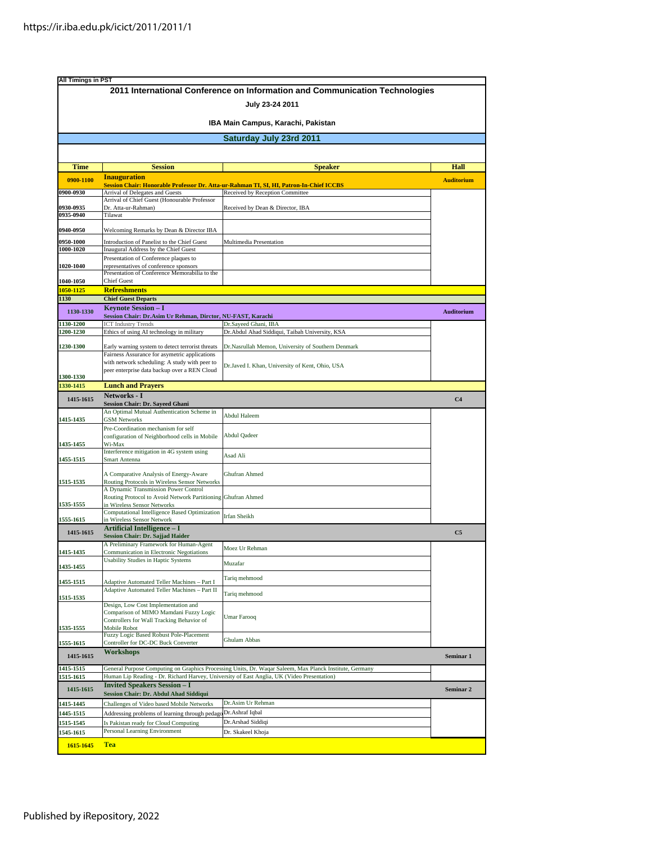| <b>All Timings in PST</b>                                     |                                                                                                                                     | 2011 International Conference on Information and Communication Technologies                             |                   |  |  |             |                     |                                                                                         |                   |
|---------------------------------------------------------------|-------------------------------------------------------------------------------------------------------------------------------------|---------------------------------------------------------------------------------------------------------|-------------------|--|--|-------------|---------------------|-----------------------------------------------------------------------------------------|-------------------|
|                                                               |                                                                                                                                     | July 23-24 2011                                                                                         |                   |  |  |             |                     |                                                                                         |                   |
| IBA Main Campus, Karachi, Pakistan<br>Saturday July 23rd 2011 |                                                                                                                                     |                                                                                                         |                   |  |  |             |                     |                                                                                         |                   |
|                                                               |                                                                                                                                     |                                                                                                         |                   |  |  | <b>Time</b> | <b>Session</b>      | <b>Speaker</b>                                                                          | Hall              |
|                                                               |                                                                                                                                     |                                                                                                         |                   |  |  | 0900-1100   | <b>Inauguration</b> | Session Chair: Honorable Professor Dr. Atta-ur-Rahman TI, SI, HI, Patron-In-Chief ICCBS | <b>Auditorium</b> |
| 0900-0930                                                     | Arrival of Delegates and Guests                                                                                                     | Received by Reception Committee                                                                         |                   |  |  |             |                     |                                                                                         |                   |
| 0930-0935                                                     | Arrival of Chief Guest (Honourable Professor<br>Dr. Atta-ur-Rahman)                                                                 | Received by Dean & Director, IBA                                                                        |                   |  |  |             |                     |                                                                                         |                   |
| 0935-0940                                                     | Tilawat                                                                                                                             |                                                                                                         |                   |  |  |             |                     |                                                                                         |                   |
| 0940-0950                                                     | Welcoming Remarks by Dean & Director IBA                                                                                            |                                                                                                         |                   |  |  |             |                     |                                                                                         |                   |
| 0950-1000                                                     | Introduction of Panelist to the Chief Guest                                                                                         | Multimedia Presentation                                                                                 |                   |  |  |             |                     |                                                                                         |                   |
| 1000-1020                                                     | Inaugural Address by the Chief Guest<br>Presentation of Conference plaques to                                                       |                                                                                                         |                   |  |  |             |                     |                                                                                         |                   |
| 1020-1040                                                     | representatives of conference sponsors<br>Presentation of Conference Memorabilia to the                                             |                                                                                                         |                   |  |  |             |                     |                                                                                         |                   |
| 1040-1050                                                     | <b>Chief Guest</b>                                                                                                                  |                                                                                                         |                   |  |  |             |                     |                                                                                         |                   |
| 1050-1125                                                     | <b>Refreshments</b>                                                                                                                 |                                                                                                         |                   |  |  |             |                     |                                                                                         |                   |
| 1130                                                          | <b>Chief Guest Departs</b><br><b>Keynote Session - I</b>                                                                            |                                                                                                         |                   |  |  |             |                     |                                                                                         |                   |
| 1130-1330                                                     | Session Chair: Dr.Asim Ur Rehman, Dirctor, NU-FAST, Karachi                                                                         |                                                                                                         | <b>Auditorium</b> |  |  |             |                     |                                                                                         |                   |
| 1130-1200<br>1200-1230                                        | <b>ICT Industry Trends</b><br>Ethics of using AI technology in military                                                             | Dr.Sayeed Ghani, IBA<br>Dr.Abdul Ahad Siddiqui, Taibah University, KSA                                  |                   |  |  |             |                     |                                                                                         |                   |
| 1230-1300                                                     | Early warning system to detect terrorist threats                                                                                    | Dr.Nasrullah Memon, University of Southern Denmark                                                      |                   |  |  |             |                     |                                                                                         |                   |
|                                                               | Fairness Assurance for asymetric applications                                                                                       |                                                                                                         |                   |  |  |             |                     |                                                                                         |                   |
|                                                               | with network scheduling: A study with peer to<br>peer enterprise data backup over a REN Cloud                                       | Dr.Javed I. Khan, University of Kent, Ohio, USA                                                         |                   |  |  |             |                     |                                                                                         |                   |
| 1300-1330                                                     |                                                                                                                                     |                                                                                                         |                   |  |  |             |                     |                                                                                         |                   |
| 1330-1415                                                     | <b>Lunch and Prayers</b><br>Networks - I                                                                                            |                                                                                                         |                   |  |  |             |                     |                                                                                         |                   |
| 1415-1615                                                     | <b>Session Chair: Dr. Sayeed Ghani</b>                                                                                              |                                                                                                         | C <sub>4</sub>    |  |  |             |                     |                                                                                         |                   |
| 1415-1435                                                     | An Optimal Mutual Authentication Scheme in<br><b>GSM Networks</b>                                                                   | Abdul Haleem                                                                                            |                   |  |  |             |                     |                                                                                         |                   |
| 1435-1455                                                     | Pre-Coordination mechanism for self<br>configuration of Neighborhood cells in Mobile<br>Wi-Max                                      | Abdul Qadeer                                                                                            |                   |  |  |             |                     |                                                                                         |                   |
| 1455-1515                                                     | Interference mitigation in 4G system using<br>Smart Antenna                                                                         | Asad Ali                                                                                                |                   |  |  |             |                     |                                                                                         |                   |
| 1515-1535                                                     | A Comparative Analysis of Energy-Aware<br>Routing Protocols in Wireless Sensor Networks                                             | Ghufran Ahmed                                                                                           |                   |  |  |             |                     |                                                                                         |                   |
| 1535-1555                                                     | A Dynamic Transmission Power Control<br>Routing Protocol to Avoid Network Partitioning Ghufran Ahmed<br>in Wireless Sensor Networks |                                                                                                         |                   |  |  |             |                     |                                                                                         |                   |
| 1555-1615                                                     | Computational Intelligence Based Optimization                                                                                       | Irfan Sheikh                                                                                            |                   |  |  |             |                     |                                                                                         |                   |
| 1415-1615                                                     | in Wireless Sensor Network<br><b>Artificial Intelligence - I</b>                                                                    |                                                                                                         | C <sub>5</sub>    |  |  |             |                     |                                                                                         |                   |
|                                                               | Session Chair: Dr. Sajjad Haider<br>A Preliminary Framework for Human-Agent                                                         |                                                                                                         |                   |  |  |             |                     |                                                                                         |                   |
| 1415-1435                                                     | Communication in Electronic Negotiations                                                                                            | Moez Ur Rehman                                                                                          |                   |  |  |             |                     |                                                                                         |                   |
| 1435-1455                                                     | Usability Studies in Haptic Systems                                                                                                 | Muzafar                                                                                                 |                   |  |  |             |                     |                                                                                         |                   |
| 1455-1515                                                     | Adaptive Automated Teller Machines - Part I                                                                                         | Tariq mehmood                                                                                           |                   |  |  |             |                     |                                                                                         |                   |
|                                                               | Adaptive Automated Teller Machines - Part II                                                                                        | Tariq mehmood                                                                                           |                   |  |  |             |                     |                                                                                         |                   |
| 1515-1535                                                     | Design, Low Cost Implementation and                                                                                                 |                                                                                                         |                   |  |  |             |                     |                                                                                         |                   |
| 1535-1555                                                     | Comparison of MIMO Mamdani Fuzzy Logic<br>Controllers for Wall Tracking Behavior of<br>Mobile Robot                                 | Umar Farooq                                                                                             |                   |  |  |             |                     |                                                                                         |                   |
| 1555-1615                                                     | Fuzzy Logic Based Robust Pole-Placement<br>Controller for DC-DC Buck Converter                                                      | Ghulam Abbas                                                                                            |                   |  |  |             |                     |                                                                                         |                   |
| 1415-1615                                                     | Workshops                                                                                                                           |                                                                                                         | Seminar 1         |  |  |             |                     |                                                                                         |                   |
| 1415-1515                                                     |                                                                                                                                     | General Purpose Computing on Graphics Processing Units, Dr. Waqar Saleem, Max Planck Institute, Germany |                   |  |  |             |                     |                                                                                         |                   |
| 1515-1615                                                     | Human Lip Reading - Dr. Richard Harvey, University of East Anglia, UK (Video Presentation)                                          |                                                                                                         |                   |  |  |             |                     |                                                                                         |                   |
| 1415-1615                                                     | <b>Invited Speakers Session - I</b><br>Session Chair: Dr. Abdul Ahad Siddiqui                                                       |                                                                                                         | Seminar 2         |  |  |             |                     |                                                                                         |                   |
| 1415-1445                                                     | Challenges of Video based Mobile Networks                                                                                           | Dr.Asim Ur Rehman                                                                                       |                   |  |  |             |                     |                                                                                         |                   |
| 1445-1515                                                     | Addressing problems of learning through pedago Dr.Ashraf Iqbal                                                                      |                                                                                                         |                   |  |  |             |                     |                                                                                         |                   |
| 1515-1545<br>1545-1615                                        | Is Pakistan ready for Cloud Computing<br>Personal Learning Environment                                                              | Dr.Arshad Siddiqi<br>Dr. Skakeel Khoja                                                                  |                   |  |  |             |                     |                                                                                         |                   |
| 1615-1645                                                     | <b>Tea</b>                                                                                                                          |                                                                                                         |                   |  |  |             |                     |                                                                                         |                   |
|                                                               |                                                                                                                                     |                                                                                                         |                   |  |  |             |                     |                                                                                         |                   |